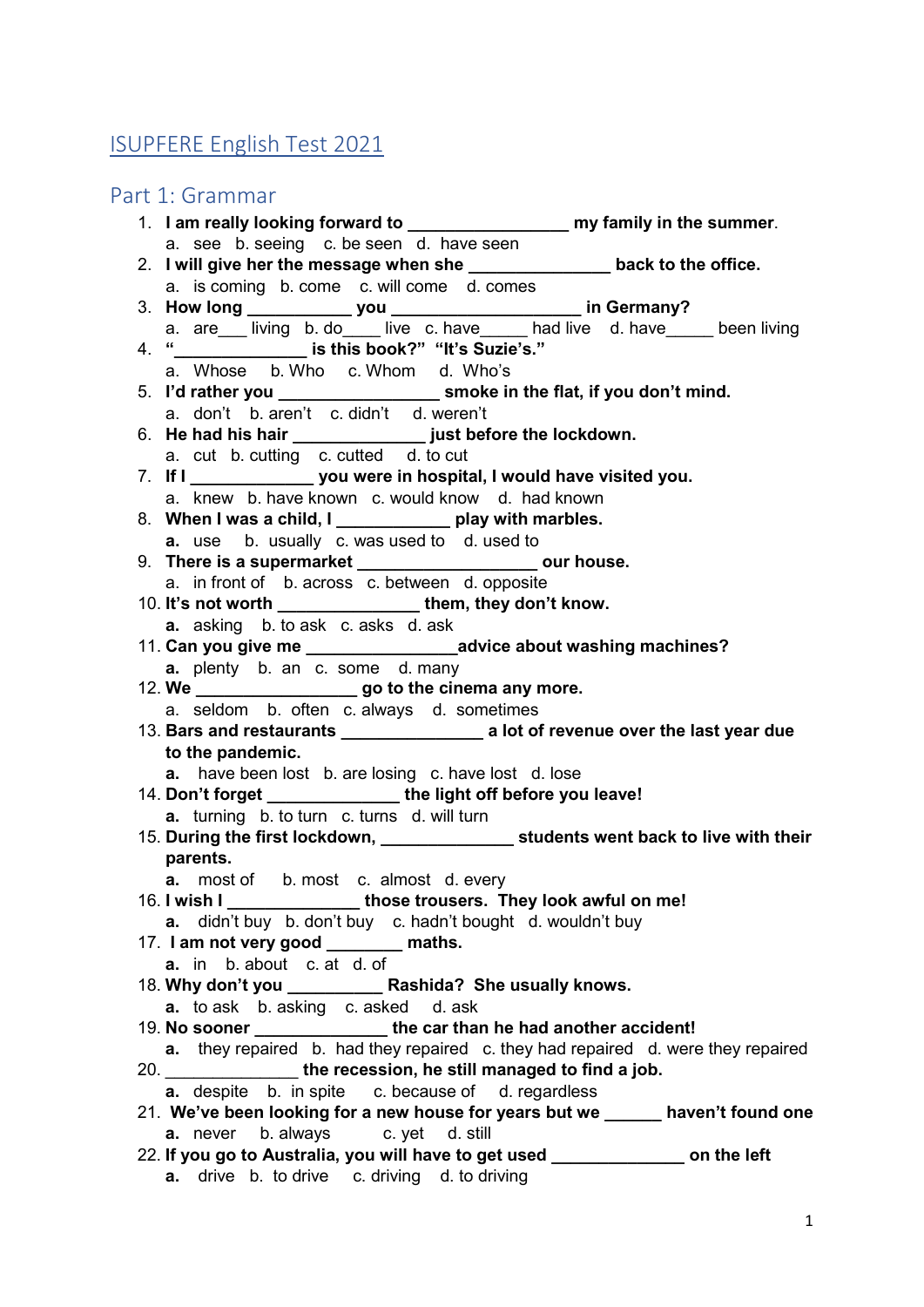# ISUPFERE English Test 2021

## Part 1: Grammar

| 1. I am really looking forward to ________________________ my family in the summer.     |  |
|-----------------------------------------------------------------------------------------|--|
| a. see b. seeing c. be seen d. have seen                                                |  |
| 2. I will give her the message when she ________________ back to the office.            |  |
| a. is coming b. come c. will come d. comes                                              |  |
|                                                                                         |  |
| a. are living b. do live c. have had live d. have been living                           |  |
| 4. " ________________ is this book?" "It's Suzie's."                                    |  |
| a. Whose b. Who c. Whom d. Who's                                                        |  |
| 5. I'd rather you _________________________ smoke in the flat, if you don't mind.       |  |
| a. don't b. aren't c. didn't d. weren't                                                 |  |
| 6. He had his hair _________________ just before the lockdown.                          |  |
| a. cut b. cutting c. cutted d. to cut                                                   |  |
|                                                                                         |  |
| a. knew b. have known c. would know d. had known                                        |  |
| 8. When I was a child, I _____________ play with marbles.                               |  |
| <b>a.</b> use b. usually c. was used to d. used to                                      |  |
| 9. There is a supermarket ______________________ our house.                             |  |
| a. in front of b. across c. between d. opposite                                         |  |
| 10. It's not worth __________________them, they don't know.                             |  |
| <b>a.</b> asking b. to ask c. asks d. ask                                               |  |
| 11. Can you give me _________________________advice about washing machines?             |  |
| a. plenty b. an c. some d. many                                                         |  |
| 12. We _________________________go to the cinema any more.                              |  |
| a. seldom b. often c. always d. sometimes                                               |  |
| 13. Bars and restaurants _____________________ a lot of revenue over the last year due  |  |
| to the pandemic.                                                                        |  |
| a. have been lost b. are losing c. have lost d. lose                                    |  |
| 14. Don't forget ________________the light off before you leave!                        |  |
| <b>a.</b> turning b. to turn c. turns d. will turn                                      |  |
| 15. During the first lockdown, __________________ students went back to live with their |  |
| parents.                                                                                |  |
| <b>a.</b> most of b. most c. almost d. every                                            |  |
| 16. I wish I _________________those trousers. They look awful on me!                    |  |
| <b>a.</b> didn't buy b. don't buy c. hadn't bought d. wouldn't buy                      |  |
| 17. I am not very good _______ maths.                                                   |  |
| <b>a.</b> in b. about c. at d. of                                                       |  |
|                                                                                         |  |
| <b>a.</b> to ask b. asking c. asked<br>d. ask                                           |  |
| 19. No sooner _____________________the car than he had another accident!                |  |
| a. they repaired b. had they repaired c. they had repaired d. were they repaired        |  |
| 20. ________________the recession, he still managed to find a job.                      |  |
| <b>a.</b> despite b. in spite c. because of d. regardless                               |  |
| 21. We've been looking for a new house for years but we _____ haven't found one         |  |
| <b>a.</b> never b. always c. yet d. still                                               |  |
| 22. If you go to Australia, you will have to get used ______________ on the left        |  |
| <b>a.</b> drive b. to drive c. driving d. to driving                                    |  |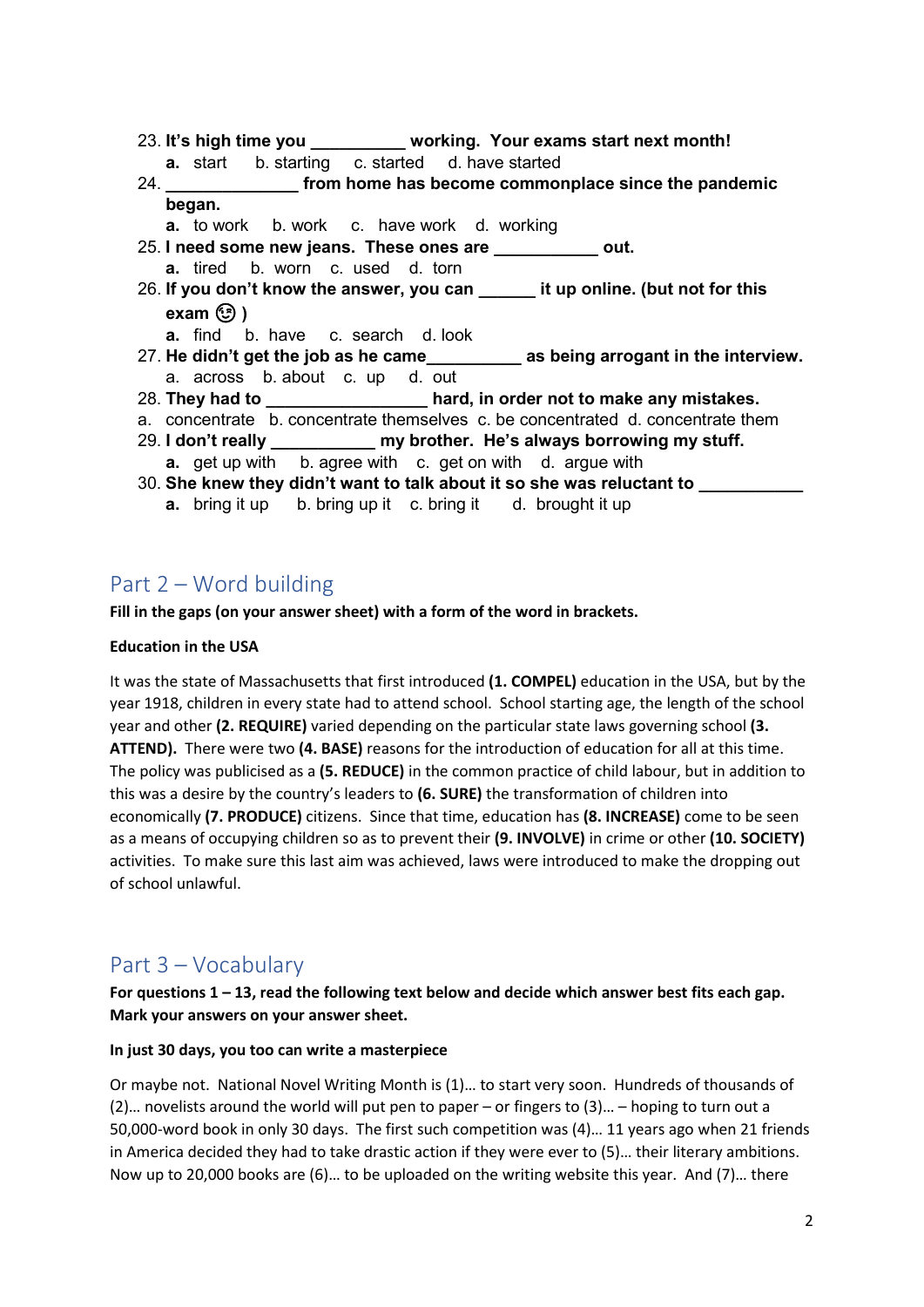- 23. **It's high time you \_\_\_\_\_\_\_\_\_\_ working. Your exams start next month! a.** start b. starting c. started d. have started
- 24. **\_\_\_\_\_\_\_\_\_\_\_\_\_\_ from home has become commonplace since the pandemic began.**
	- **a.** to work b. work c. have work d. working
- 25. **I need some new jeans. These ones are \_\_\_\_\_\_\_\_\_\_\_ out.**
	- **a.** tired b. worn c. used d. torn
- 26. **If you don't know the answer, you can \_\_\_\_\_\_ it up online. (but not for this exam**  $\circled{?}$ )
	- **a.** find b. have c. search d. look
- 27. **He didn't get the job as he came\_\_\_\_\_\_\_\_\_\_ as being arrogant in the interview.** a. across b. about c. up d. out
- 28. **They had to \_\_\_\_\_\_\_\_\_\_\_\_\_\_\_\_\_ hard, in order not to make any mistakes.**
- a. concentrate b. concentrate themselves c. be concentrated d. concentrate them
- 29. **I don't really \_\_\_\_\_\_\_\_\_\_\_ my brother. He's always borrowing my stuff. a.** get up with b. agree with c. get on with d. argue with
- 30. **She knew they didn't want to talk about it so she was reluctant to \_\_\_\_\_\_\_\_\_\_\_ a.** bring it up b. bring up it c. bring it d. brought it up

### Part 2 – Word building

**Fill in the gaps (on your answer sheet) with a form of the word in brackets.**

### **Education in the USA**

It was the state of Massachusetts that first introduced **(1. COMPEL)** education in the USA, but by the year 1918, children in every state had to attend school. School starting age, the length of the school year and other **(2. REQUIRE)** varied depending on the particular state laws governing school **(3. ATTEND).** There were two **(4. BASE)** reasons for the introduction of education for all at this time. The policy was publicised as a **(5. REDUCE)** in the common practice of child labour, but in addition to this was a desire by the country's leaders to **(6. SURE)** the transformation of children into economically **(7. PRODUCE)** citizens. Since that time, education has **(8. INCREASE)** come to be seen as a means of occupying children so as to prevent their **(9. INVOLVE)** in crime or other **(10. SOCIETY)**  activities. To make sure this last aim was achieved, laws were introduced to make the dropping out of school unlawful.

### Part 3 – Vocabulary

**For questions 1 – 13, read the following text below and decide which answer best fits each gap. Mark your answers on your answer sheet.** 

### **In just 30 days, you too can write a masterpiece**

Or maybe not. National Novel Writing Month is (1)… to start very soon. Hundreds of thousands of (2)… novelists around the world will put pen to paper – or fingers to (3)… – hoping to turn out a 50,000-word book in only 30 days. The first such competition was (4)… 11 years ago when 21 friends in America decided they had to take drastic action if they were ever to (5)… their literary ambitions. Now up to 20,000 books are (6)… to be uploaded on the writing website this year. And (7)… there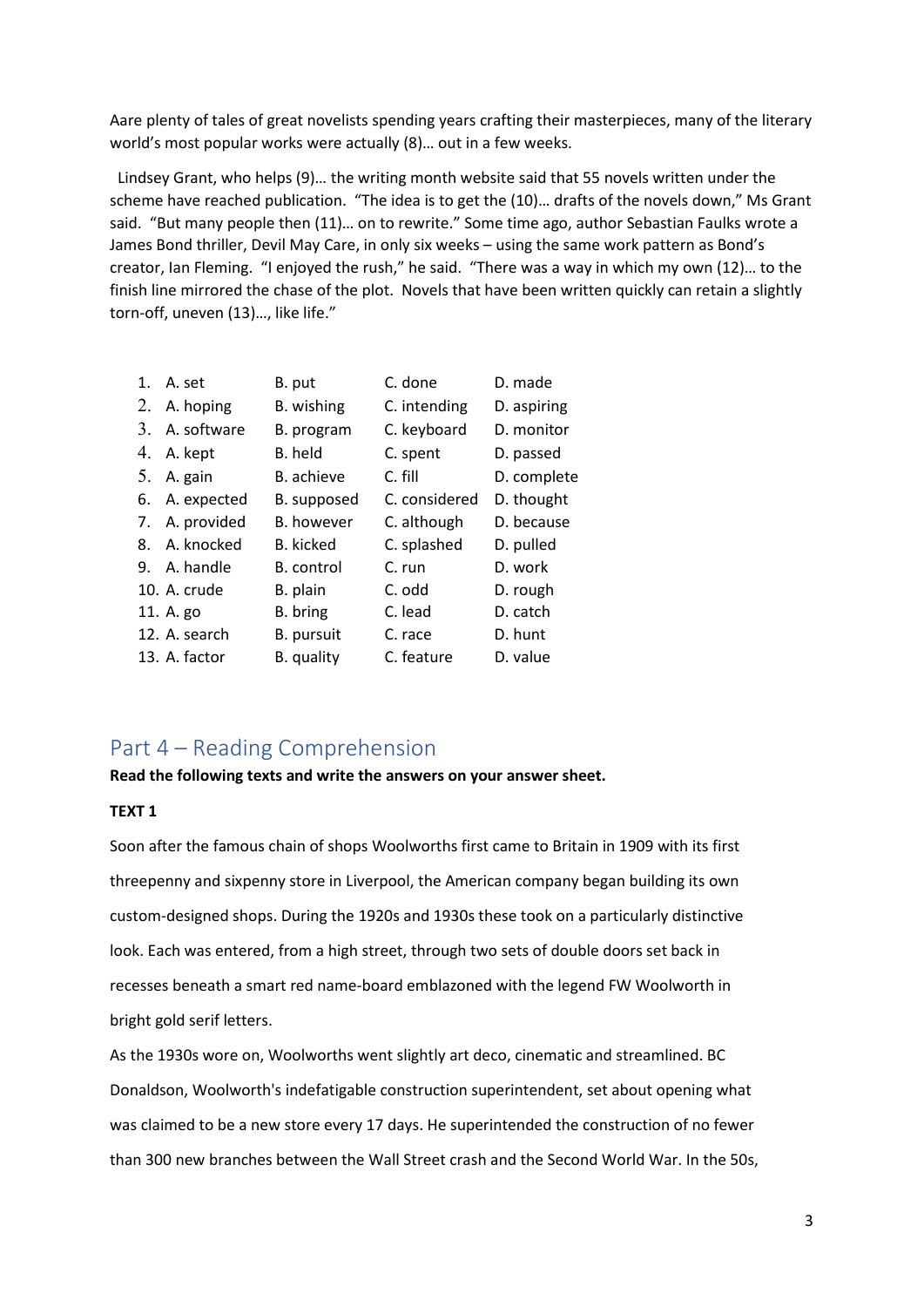Aare plenty of tales of great novelists spending years crafting their masterpieces, many of the literary world's most popular works were actually (8)… out in a few weeks.

 Lindsey Grant, who helps (9)… the writing month website said that 55 novels written under the scheme have reached publication. "The idea is to get the (10)… drafts of the novels down," Ms Grant said. "But many people then (11)… on to rewrite." Some time ago, author Sebastian Faulks wrote a James Bond thriller, Devil May Care, in only six weeks – using the same work pattern as Bond's creator, Ian Fleming. "I enjoyed the rush," he said. "There was a way in which my own (12)… to the finish line mirrored the chase of the plot. Novels that have been written quickly can retain a slightly torn-off, uneven (13)…, like life."

|    | 1. A. set      | B. put            | C. done       | D. made     |
|----|----------------|-------------------|---------------|-------------|
|    | 2. A. hoping   | B. wishing        | C. intending  | D. aspiring |
|    | 3. A. software | B. program        | C. keyboard   | D. monitor  |
|    | 4. A. kept     | B. held           | C. spent      | D. passed   |
|    | 5. A. gain     | B. achieve        | C. fill       | D. complete |
| 6. | A. expected    | B. supposed       | C. considered | D. thought  |
| 7. | A. provided    | <b>B.</b> however | C. although   | D. because  |
| 8. | A. knocked     | B. kicked         | C. splashed   | D. pulled   |
|    | 9. A. handle   | B. control        | C. run        | D. work     |
|    | 10. A. crude   | B. plain          | C. odd        | D. rough    |
|    | 11. A. go      | B. bring          | C. lead       | D. catch    |
|    | 12. A. search  | B. pursuit        | C. race       | D. hunt     |
|    | 13. A. factor  | B. quality        | C. feature    | D. value    |

### Part 4 – Reading Comprehension

#### **Read the following texts and write the answers on your answer sheet.**

#### **TEXT 1**

Soon after the famous chain of shops Woolworths first came to Britain in 1909 with its first threepenny and sixpenny store in Liverpool, the American company began building its own custom-designed shops. During the 1920s and 1930s these took on a particularly distinctive look. Each was entered, from a high street, through two sets of double doors set back in recesses beneath a smart red name-board emblazoned with the legend FW Woolworth in bright gold serif letters.

As the 1930s wore on, Woolworths went slightly art deco, cinematic and streamlined. BC Donaldson, Woolworth's indefatigable construction superintendent, set about opening what was claimed to be a new store every 17 days. He superintended the construction of no fewer than 300 new branches between the Wall Street crash and the Second World War. In the 50s,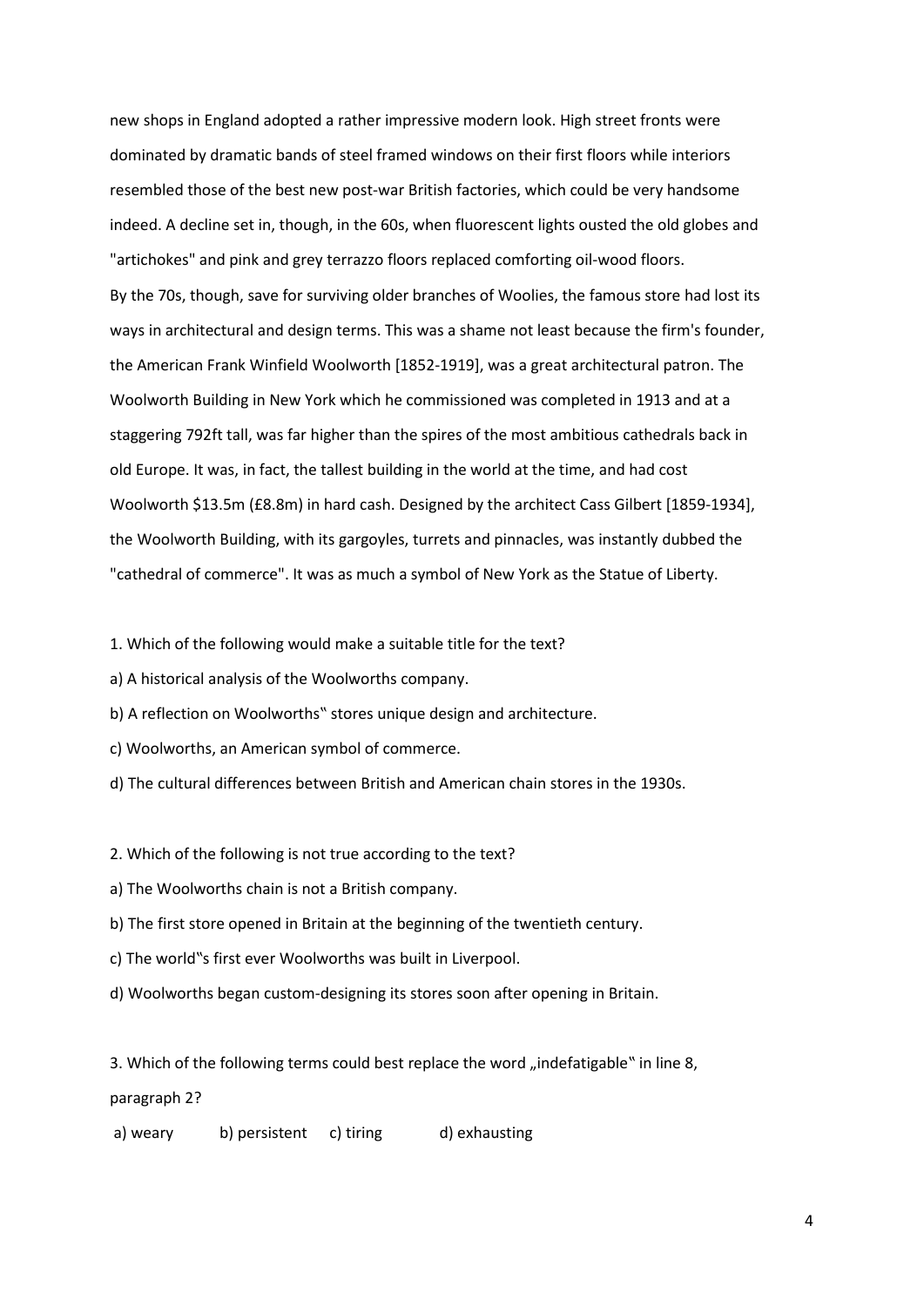new shops in England adopted a rather impressive modern look. High street fronts were dominated by dramatic bands of steel framed windows on their first floors while interiors resembled those of the best new post-war British factories, which could be very handsome indeed. A decline set in, though, in the 60s, when fluorescent lights ousted the old globes and "artichokes" and pink and grey terrazzo floors replaced comforting oil-wood floors. By the 70s, though, save for surviving older branches of Woolies, the famous store had lost its ways in architectural and design terms. This was a shame not least because the firm's founder, the American Frank Winfield Woolworth [1852-1919], was a great architectural patron. The Woolworth Building in New York which he commissioned was completed in 1913 and at a staggering 792ft tall, was far higher than the spires of the most ambitious cathedrals back in old Europe. It was, in fact, the tallest building in the world at the time, and had cost Woolworth \$13.5m (£8.8m) in hard cash. Designed by the architect Cass Gilbert [1859-1934], the Woolworth Building, with its gargoyles, turrets and pinnacles, was instantly dubbed the "cathedral of commerce". It was as much a symbol of New York as the Statue of Liberty.

1. Which of the following would make a suitable title for the text?

a) A historical analysis of the Woolworths company.

b) A reflection on Woolworths" stores unique design and architecture.

c) Woolworths, an American symbol of commerce.

d) The cultural differences between British and American chain stores in the 1930s.

2. Which of the following is not true according to the text?

a) The Woolworths chain is not a British company.

b) The first store opened in Britain at the beginning of the twentieth century.

c) The world"s first ever Woolworths was built in Liverpool.

d) Woolworths began custom-designing its stores soon after opening in Britain.

3. Which of the following terms could best replace the word "indefatigable" in line 8,

paragraph 2?

a) weary b) persistent c) tiring d) exhausting

4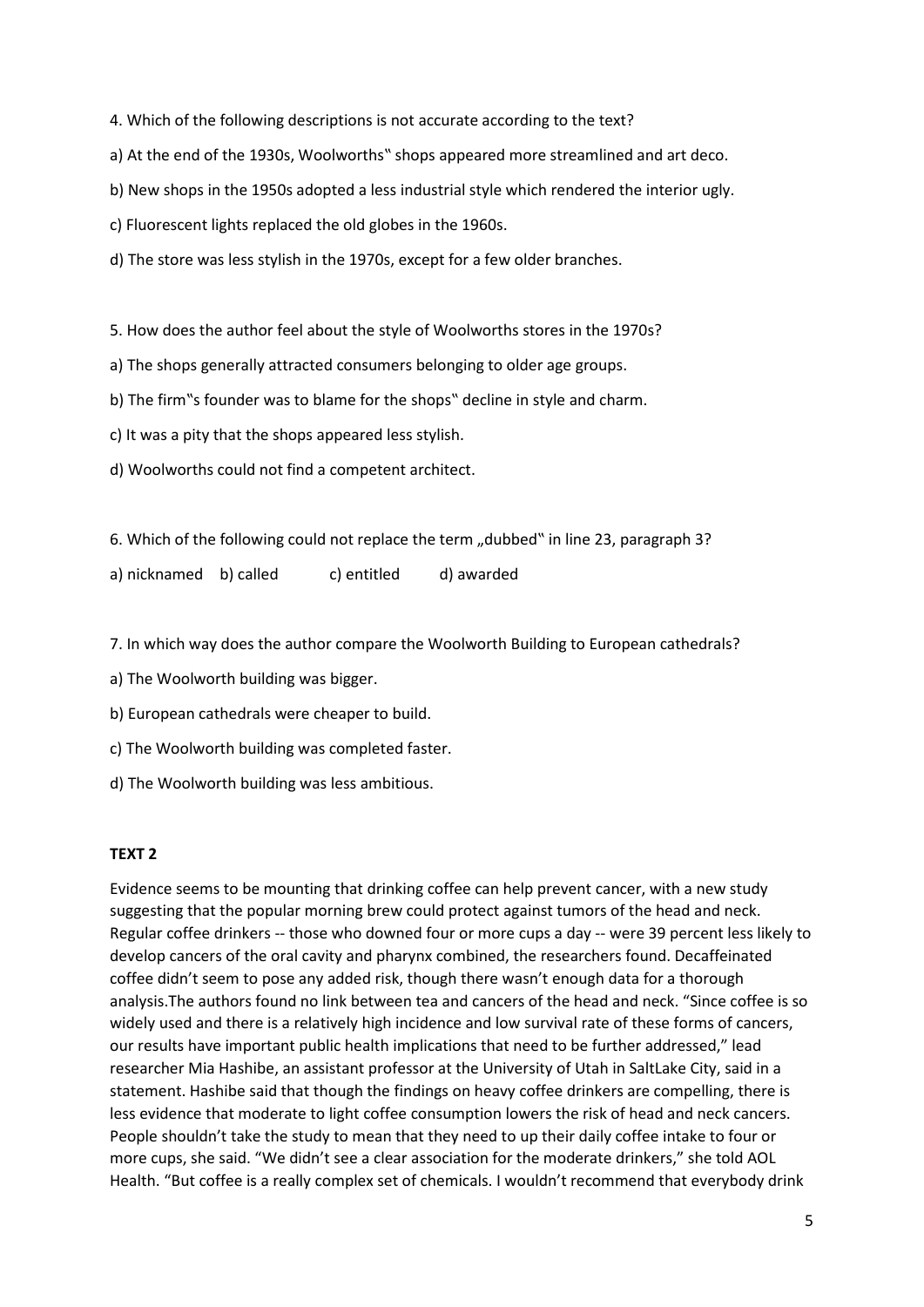4. Which of the following descriptions is not accurate according to the text?

a) At the end of the 1930s, Woolworths" shops appeared more streamlined and art deco.

b) New shops in the 1950s adopted a less industrial style which rendered the interior ugly.

c) Fluorescent lights replaced the old globes in the 1960s.

d) The store was less stylish in the 1970s, except for a few older branches.

5. How does the author feel about the style of Woolworths stores in the 1970s?

a) The shops generally attracted consumers belonging to older age groups.

b) The firm"s founder was to blame for the shops" decline in style and charm.

c) It was a pity that the shops appeared less stylish.

d) Woolworths could not find a competent architect.

6. Which of the following could not replace the term "dubbed" in line 23, paragraph 3?

a) nicknamed b) called c) entitled d) awarded

7. In which way does the author compare the Woolworth Building to European cathedrals?

a) The Woolworth building was bigger.

b) European cathedrals were cheaper to build.

c) The Woolworth building was completed faster.

d) The Woolworth building was less ambitious.

#### **TEXT 2**

Evidence seems to be mounting that drinking coffee can help prevent cancer, with a new study suggesting that the popular morning brew could protect against tumors of the head and neck. Regular coffee drinkers -- those who downed four or more cups a day -- were 39 percent less likely to develop cancers of the oral cavity and pharynx combined, the researchers found. Decaffeinated coffee didn't seem to pose any added risk, though there wasn't enough data for a thorough analysis.The authors found no link between tea and cancers of the head and neck. "Since coffee is so widely used and there is a relatively high incidence and low survival rate of these forms of cancers, our results have important public health implications that need to be further addressed," lead researcher Mia Hashibe, an assistant professor at the University of Utah in SaltLake City, said in a statement. Hashibe said that though the findings on heavy coffee drinkers are compelling, there is less evidence that moderate to light coffee consumption lowers the risk of head and neck cancers. People shouldn't take the study to mean that they need to up their daily coffee intake to four or more cups, she said. "We didn't see a clear association for the moderate drinkers," she told AOL Health. "But coffee is a really complex set of chemicals. I wouldn't recommend that everybody drink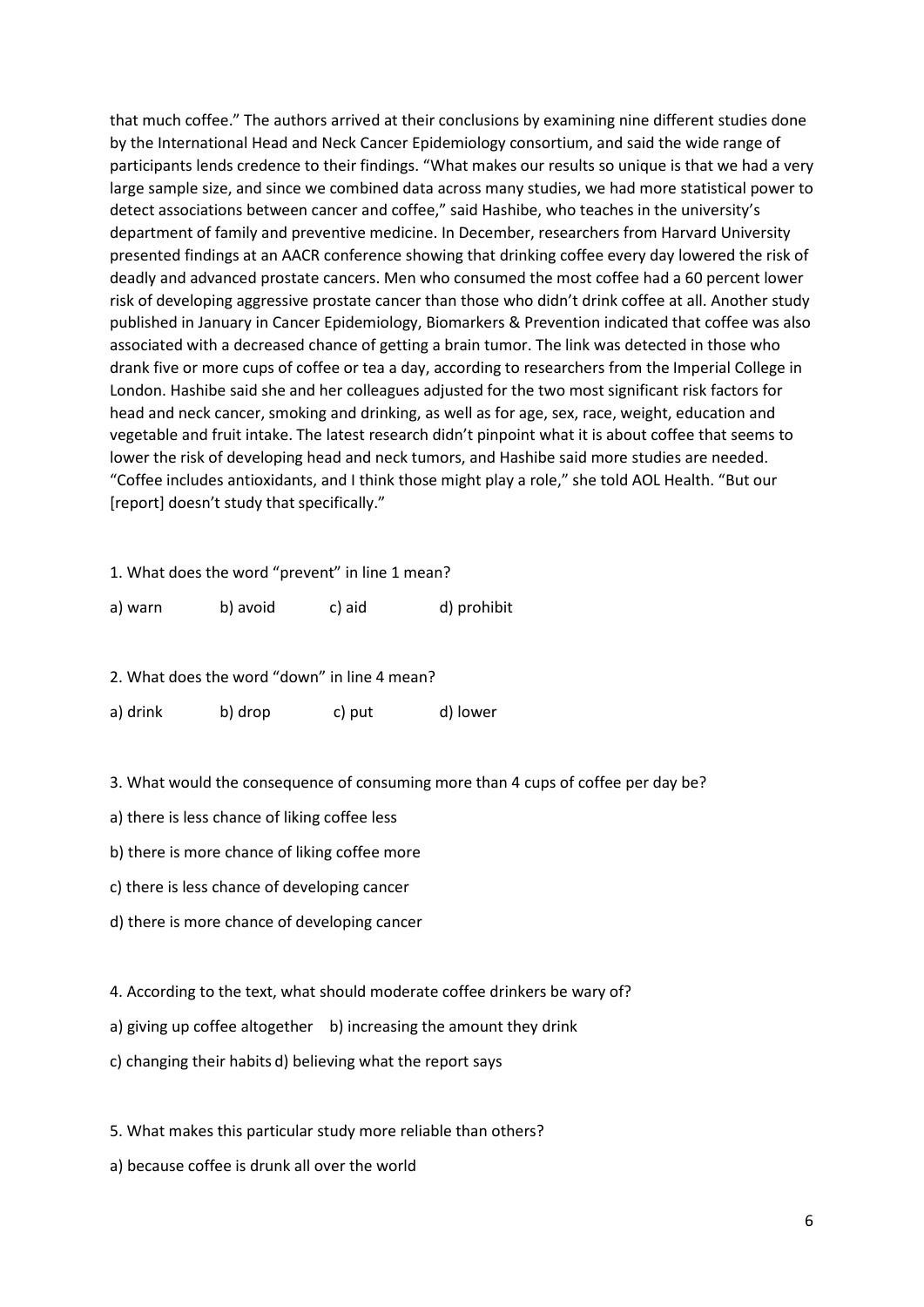that much coffee." The authors arrived at their conclusions by examining nine different studies done by the International Head and Neck Cancer Epidemiology consortium, and said the wide range of participants lends credence to their findings. "What makes our results so unique is that we had a very large sample size, and since we combined data across many studies, we had more statistical power to detect associations between cancer and coffee," said Hashibe, who teaches in the university's department of family and preventive medicine. In December, researchers from Harvard University presented findings at an AACR conference showing that drinking coffee every day lowered the risk of deadly and advanced prostate cancers. Men who consumed the most coffee had a 60 percent lower risk of developing aggressive prostate cancer than those who didn't drink coffee at all. Another study published in January in Cancer Epidemiology, Biomarkers & Prevention indicated that coffee was also associated with a decreased chance of getting a brain tumor. The link was detected in those who drank five or more cups of coffee or tea a day, according to researchers from the Imperial College in London. Hashibe said she and her colleagues adjusted for the two most significant risk factors for head and neck cancer, smoking and drinking, as well as for age, sex, race, weight, education and vegetable and fruit intake. The latest research didn't pinpoint what it is about coffee that seems to lower the risk of developing head and neck tumors, and Hashibe said more studies are needed. "Coffee includes antioxidants, and I think those might play a role," she told AOL Health. "But our [report] doesn't study that specifically."

1. What does the word "prevent" in line 1 mean?

| a) warn | b) avoid | c) aid | d) prohibit |
|---------|----------|--------|-------------|
|         |          |        |             |

2. What does the word "down" in line 4 mean?

a) drink b) drop c) put d) lower

3. What would the consequence of consuming more than 4 cups of coffee per day be?

a) there is less chance of liking coffee less

b) there is more chance of liking coffee more

c) there is less chance of developing cancer

d) there is more chance of developing cancer

4. According to the text, what should moderate coffee drinkers be wary of?

a) giving up coffee altogether b) increasing the amount they drink

c) changing their habits d) believing what the report says

5. What makes this particular study more reliable than others?

a) because coffee is drunk all over the world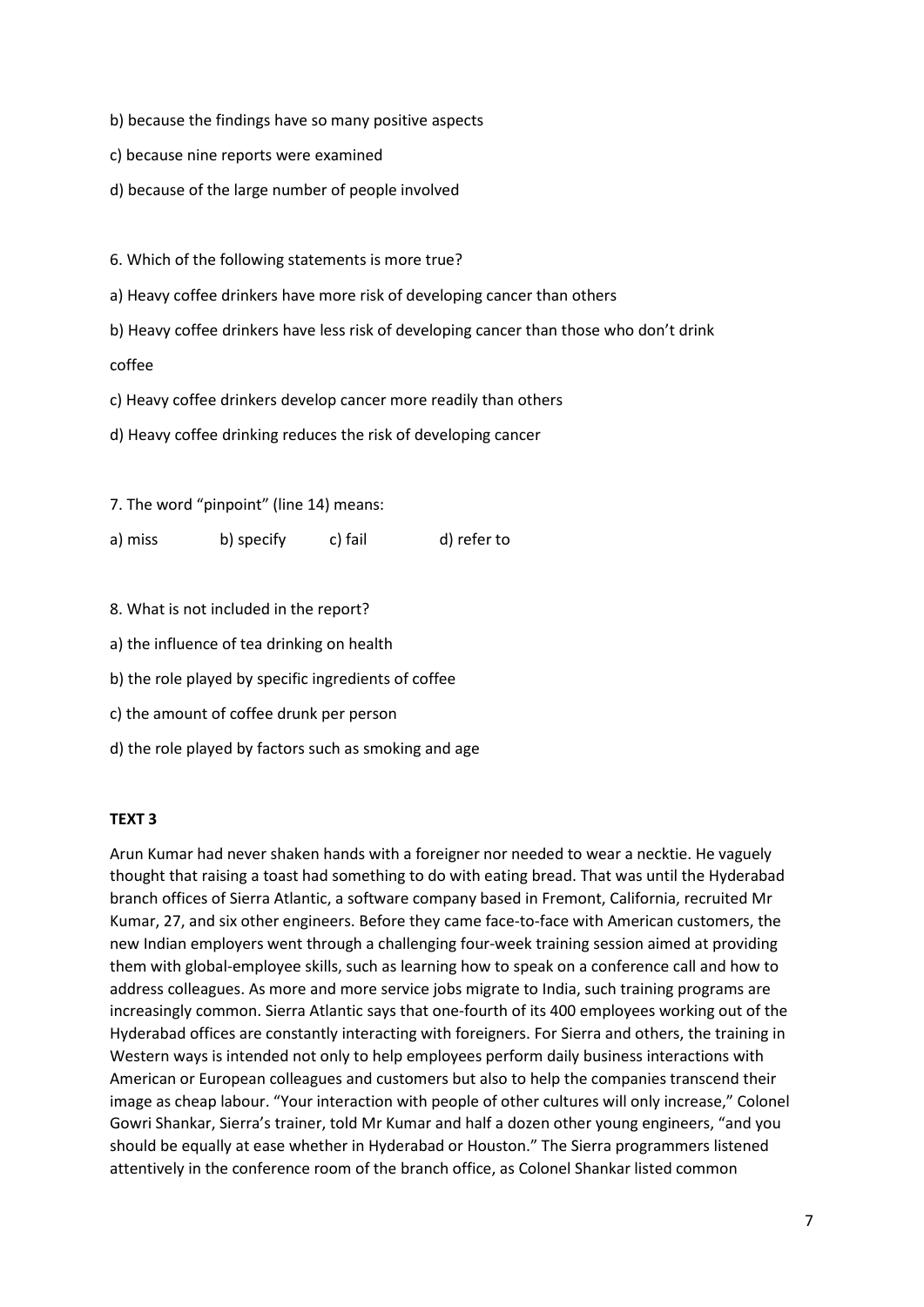b) because the findings have so many positive aspects

- c) because nine reports were examined
- d) because of the large number of people involved

6. Which of the following statements is more true?

a) Heavy coffee drinkers have more risk of developing cancer than others

b) Heavy coffee drinkers have less risk of developing cancer than those who don't drink

coffee

c) Heavy coffee drinkers develop cancer more readily than others

d) Heavy coffee drinking reduces the risk of developing cancer

7. The word "pinpoint" (line 14) means:

a) miss b) specify c) fail d) refer to

8. What is not included in the report?

- a) the influence of tea drinking on health
- b) the role played by specific ingredients of coffee
- c) the amount of coffee drunk per person
- d) the role played by factors such as smoking and age

#### **TEXT 3**

Arun Kumar had never shaken hands with a foreigner nor needed to wear a necktie. He vaguely thought that raising a toast had something to do with eating bread. That was until the Hyderabad branch offices of Sierra Atlantic, a software company based in Fremont, California, recruited Mr Kumar, 27, and six other engineers. Before they came face-to-face with American customers, the new Indian employers went through a challenging four-week training session aimed at providing them with global-employee skills, such as learning how to speak on a conference call and how to address colleagues. As more and more service jobs migrate to India, such training programs are increasingly common. Sierra Atlantic says that one-fourth of its 400 employees working out of the Hyderabad offices are constantly interacting with foreigners. For Sierra and others, the training in Western ways is intended not only to help employees perform daily business interactions with American or European colleagues and customers but also to help the companies transcend their image as cheap labour. "Your interaction with people of other cultures will only increase," Colonel Gowri Shankar, Sierra's trainer, told Mr Kumar and half a dozen other young engineers, "and you should be equally at ease whether in Hyderabad or Houston." The Sierra programmers listened attentively in the conference room of the branch office, as Colonel Shankar listed common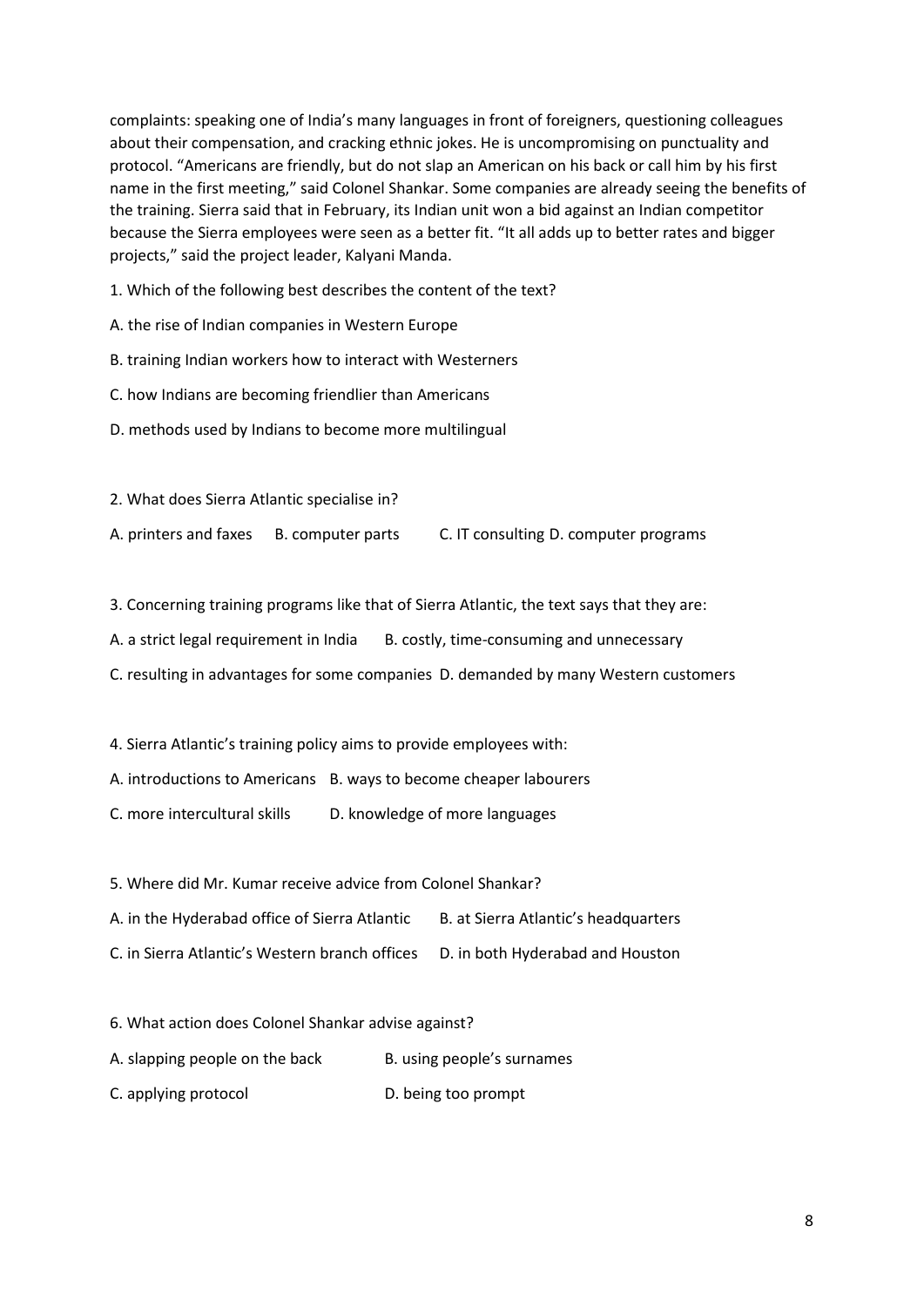complaints: speaking one of India's many languages in front of foreigners, questioning colleagues about their compensation, and cracking ethnic jokes. He is uncompromising on punctuality and protocol. "Americans are friendly, but do not slap an American on his back or call him by his first name in the first meeting," said Colonel Shankar. Some companies are already seeing the benefits of the training. Sierra said that in February, its Indian unit won a bid against an Indian competitor because the Sierra employees were seen as a better fit. "It all adds up to better rates and bigger projects," said the project leader, Kalyani Manda.

- 1. Which of the following best describes the content of the text?
- A. the rise of Indian companies in Western Europe
- B. training Indian workers how to interact with Westerners
- C. how Indians are becoming friendlier than Americans
- D. methods used by Indians to become more multilingual
- 2. What does Sierra Atlantic specialise in? A. printers and faxes B. computer parts C. IT consulting D. computer programs
- 3. Concerning training programs like that of Sierra Atlantic, the text says that they are:
- A. a strict legal requirement in India B. costly, time-consuming and unnecessary
- C. resulting in advantages for some companies D. demanded by many Western customers
- 4. Sierra Atlantic's training policy aims to provide employees with:
- A. introductions to Americans B. ways to become cheaper labourers
- C. more intercultural skills D. knowledge of more languages
- 5. Where did Mr. Kumar receive advice from Colonel Shankar?
- A. in the Hyderabad office of Sierra Atlantic B. at Sierra Atlantic's headquarters
- C. in Sierra Atlantic's Western branch offices D. in both Hyderabad and Houston
- 6. What action does Colonel Shankar advise against?
- A. slapping people on the back B. using people's surnames
- C. applying protocol D. being too prompt